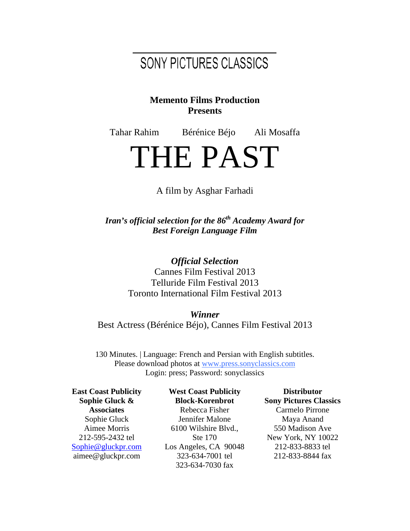## SONY PICTURES CLASSICS

#### **Memento Films Production Presents**

Tahar Rahim Bérénice Béjo Ali Mosaffa

# THE PAST

#### A film by Asghar Farhadi

*Iran's official selection for the 86th Academy Award for Best Foreign Language Film*

> *Official Selection* Cannes Film Festival 2013 Telluride Film Festival 2013 Toronto International Film Festival 2013

*Winner* Best Actress (Bérénice Béjo), Cannes Film Festival 2013

130 Minutes. | Language: French and Persian with English subtitles. Please download photos at [www.press.sonyclassics.com](http://www.press.sonyclassics.com/) Login: press; Password: sonyclassics

**East Coast Publicity Sophie Gluck & Associates** Sophie Gluck Aimee Morris 212-595-2432 tel [Sophie@gluckpr.com](mailto:Sophie@gluckpr.com) aimee@gluckpr.com

**West Coast Publicity Block-Korenbrot** Rebecca Fisher Jennifer Malone 6100 Wilshire Blvd., Ste 170 Los Angeles, CA 90048 323-634-7001 tel 323-634-7030 fax

**Distributor Sony Pictures Classics** Carmelo Pirrone Maya Anand 550 Madison Ave New York, NY 10022 212-833-8833 tel 212-833-8844 fax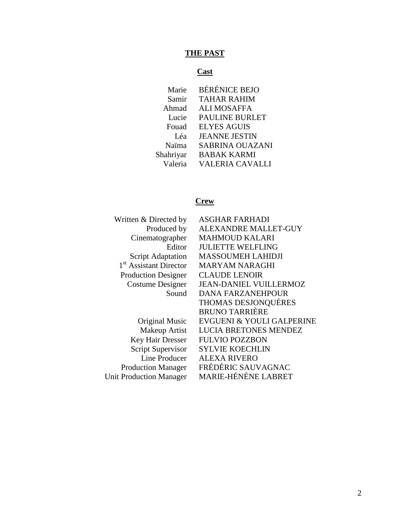## **THE PAST**

## **Cast**

| Marie     | <b>BÉRÉNICE BEJO</b>   |
|-----------|------------------------|
| Samir     | <b>TAHAR RAHIM</b>     |
| Ahmad     | <b>ALI MOSAFFA</b>     |
| Lucie     | <b>PAULINE BURLET</b>  |
| Fouad     | <b>ELYES AGUIS</b>     |
| Léa       | <b>JEANNE JESTIN</b>   |
| Naïma     | <b>SABRINA OUAZANI</b> |
| Shahriyar | <b>BABAK KARMI</b>     |
| Valeria   | <b>VALERIA CAVALLI</b> |
|           |                        |

## **Crew**

| Written & Directed by              | <b>ASGHAR FARHADI</b>         |
|------------------------------------|-------------------------------|
| Produced by                        | <b>ALEXANDRE MALLET-GUY</b>   |
| Cinematographer                    | <b>MAHMOUD KALARI</b>         |
| Editor                             | <b>JULIETTE WELFLING</b>      |
| <b>Script Adaptation</b>           | <b>MASSOUMEH LAHIDJI</b>      |
| 1 <sup>st</sup> Assistant Director | <b>MARYAM NARAGHI</b>         |
| <b>Production Designer</b>         | <b>CLAUDE LENOIR</b>          |
| Costume Designer                   | <b>JEAN-DANIEL VUILLERMOZ</b> |
| Sound                              | <b>DANA FARZANEHPOUR</b>      |
|                                    | <b>THOMAS DESJONQUÈRES</b>    |
|                                    | <b>BRUNO TARRIÈRE</b>         |
| Original Music                     | EVGUENI & YOULI GALPERINE     |
| Makeup Artist                      | <b>LUCIA BRETONES MENDEZ</b>  |
| Key Hair Dresser                   | <b>FULVIO POZZBON</b>         |
| Script Supervisor                  | <b>SYLVIE KOECHLIN</b>        |
| Line Producer                      | <b>ALEXA RIVERO</b>           |
| <b>Production Manager</b>          | FRÉDÉRIC SAUVAGNAC            |
| <b>Unit Production Manager</b>     | <b>MARIE-HÉNÈNE LABRET</b>    |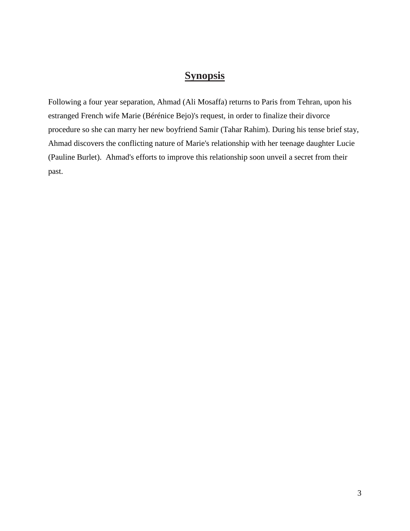## **Synopsis**

Following a four year separation, Ahmad (Ali Mosaffa) returns to Paris from Tehran, upon his estranged French wife Marie (Bérénice Bejo)'s request, in order to finalize their divorce procedure so she can marry her new boyfriend Samir (Tahar Rahim). During his tense brief stay, Ahmad discovers the conflicting nature of Marie's relationship with her teenage daughter Lucie (Pauline Burlet). Ahmad's efforts to improve this relationship soon unveil a secret from their past.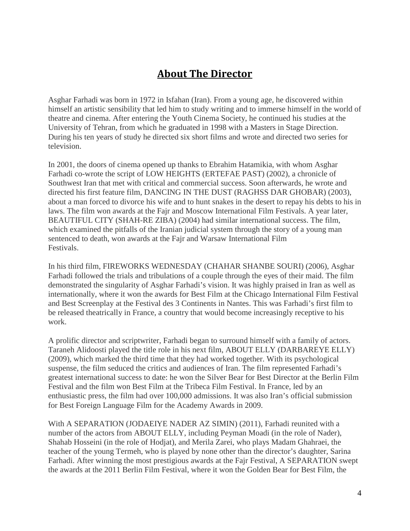## **About The Director**

Asghar Farhadi was born in 1972 in Isfahan (Iran). From a young age, he discovered within himself an artistic sensibility that led him to study writing and to immerse himself in the world of theatre and cinema. After entering the Youth Cinema Society, he continued his studies at the University of Tehran, from which he graduated in 1998 with a Masters in Stage Direction. During his ten years of study he directed six short films and wrote and directed two series for television.

In 2001, the doors of cinema opened up thanks to Ebrahim Hatamikia, with whom Asghar Farhadi co-wrote the script of LOW HEIGHTS (ERTEFAE PAST) (2002), a chronicle of Southwest Iran that met with critical and commercial success. Soon afterwards, he wrote and directed his first feature film, DANCING IN THE DUST (RAGHSS DAR GHOBAR) (2003), about a man forced to divorce his wife and to hunt snakes in the desert to repay his debts to his in laws. The film won awards at the Fajr and Moscow International Film Festivals. A year later, BEAUTIFUL CITY (SHAH-RE ZIBA) (2004) had similar international success. The film, which examined the pitfalls of the Iranian judicial system through the story of a young man sentenced to death, won awards at the Fajr and Warsaw International Film Festivals.

In his third film, FIREWORKS WEDNESDAY (CHAHAR SHANBE SOURI) (2006), Asghar Farhadi followed the trials and tribulations of a couple through the eyes of their maid. The film demonstrated the singularity of Asghar Farhadi's vision. It was highly praised in Iran as well as internationally, where it won the awards for Best Film at the Chicago International Film Festival and Best Screenplay at the Festival des 3 Continents in Nantes. This was Farhadi's first film to be released theatrically in France, a country that would become increasingly receptive to his work.

A prolific director and scriptwriter, Farhadi began to surround himself with a family of actors. Taraneh Alidoosti played the title role in his next film, ABOUT ELLY (DARBAREYE ELLY) (2009), which marked the third time that they had worked together. With its psychological suspense, the film seduced the critics and audiences of Iran. The film represented Farhadi's greatest international success to date: he won the Silver Bear for Best Director at the Berlin Film Festival and the film won Best Film at the Tribeca Film Festival. In France, led by an enthusiastic press, the film had over 100,000 admissions. It was also Iran's official submission for Best Foreign Language Film for the Academy Awards in 2009.

With A SEPARATION (JODAEIYE NADER AZ SIMIN) (2011), Farhadi reunited with a number of the actors from ABOUT ELLY, including Peyman Moadi (in the role of Nader), Shahab Hosseini (in the role of Hodjat), and Merila Zarei, who plays Madam Ghahraei, the teacher of the young Termeh, who is played by none other than the director's daughter, Sarina Farhadi. After winning the most prestigious awards at the Fajr Festival, A SEPARATION swept the awards at the 2011 Berlin Film Festival, where it won the Golden Bear for Best Film, the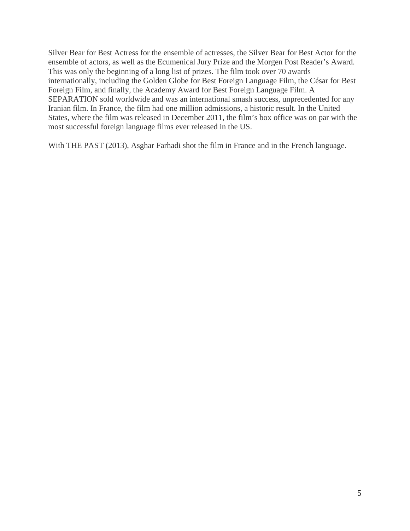Silver Bear for Best Actress for the ensemble of actresses, the Silver Bear for Best Actor for the ensemble of actors, as well as the Ecumenical Jury Prize and the Morgen Post Reader's Award. This was only the beginning of a long list of prizes. The film took over 70 awards internationally, including the Golden Globe for Best Foreign Language Film, the César for Best Foreign Film, and finally, the Academy Award for Best Foreign Language Film. A SEPARATION sold worldwide and was an international smash success, unprecedented for any Iranian film. In France, the film had one million admissions, a historic result. In the United States, where the film was released in December 2011, the film's box office was on par with the most successful foreign language films ever released in the US.

With THE PAST (2013), Asghar Farhadi shot the film in France and in the French language.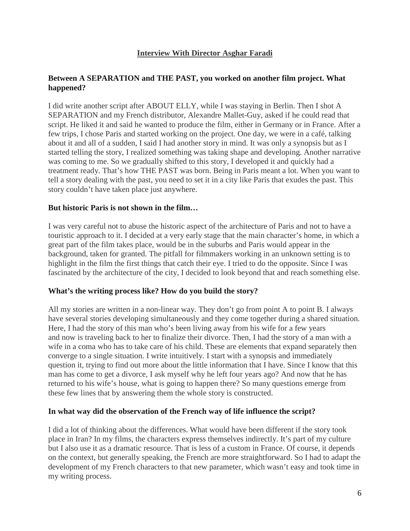#### **Interview With Director Asghar Faradi**

#### **Between A SEPARATION and THE PAST, you worked on another film project. What happened?**

I did write another script after ABOUT ELLY, while I was staying in Berlin. Then I shot A SEPARATION and my French distributor, Alexandre Mallet-Guy, asked if he could read that script. He liked it and said he wanted to produce the film, either in Germany or in France. After a few trips, I chose Paris and started working on the project. One day, we were in a café, talking about it and all of a sudden, I said I had another story in mind. It was only a synopsis but as I started telling the story, I realized something was taking shape and developing. Another narrative was coming to me. So we gradually shifted to this story, I developed it and quickly had a treatment ready. That's how THE PAST was born. Being in Paris meant a lot. When you want to tell a story dealing with the past, you need to set it in a city like Paris that exudes the past. This story couldn't have taken place just anywhere.

#### **But historic Paris is not shown in the film…**

I was very careful not to abuse the historic aspect of the architecture of Paris and not to have a touristic approach to it. I decided at a very early stage that the main character's home, in which a great part of the film takes place, would be in the suburbs and Paris would appear in the background, taken for granted. The pitfall for filmmakers working in an unknown setting is to highlight in the film the first things that catch their eye. I tried to do the opposite. Since I was fascinated by the architecture of the city, I decided to look beyond that and reach something else.

#### **What's the writing process like? How do you build the story?**

All my stories are written in a non-linear way. They don't go from point A to point B. I always have several stories developing simultaneously and they come together during a shared situation. Here, I had the story of this man who's been living away from his wife for a few years and now is traveling back to her to finalize their divorce. Then, I had the story of a man with a wife in a coma who has to take care of his child. These are elements that expand separately then converge to a single situation. I write intuitively. I start with a synopsis and immediately question it, trying to find out more about the little information that I have. Since I know that this man has come to get a divorce, I ask myself why he left four years ago? And now that he has returned to his wife's house, what is going to happen there? So many questions emerge from these few lines that by answering them the whole story is constructed.

#### **In what way did the observation of the French way of life influence the script?**

I did a lot of thinking about the differences. What would have been different if the story took place in Iran? In my films, the characters express themselves indirectly. It's part of my culture but I also use it as a dramatic resource. That is less of a custom in France. Of course, it depends on the context, but generally speaking, the French are more straightforward. So I had to adapt the development of my French characters to that new parameter, which wasn't easy and took time in my writing process.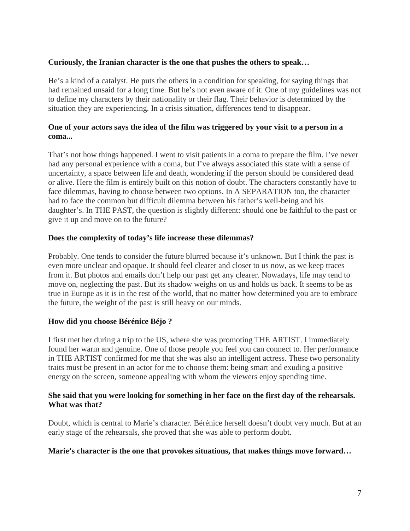#### **Curiously, the Iranian character is the one that pushes the others to speak…**

He's a kind of a catalyst. He puts the others in a condition for speaking, for saying things that had remained unsaid for a long time. But he's not even aware of it. One of my guidelines was not to define my characters by their nationality or their flag. Their behavior is determined by the situation they are experiencing. In a crisis situation, differences tend to disappear.

#### **One of your actors says the idea of the film was triggered by your visit to a person in a coma...**

That's not how things happened. I went to visit patients in a coma to prepare the film. I've never had any personal experience with a coma, but I've always associated this state with a sense of uncertainty, a space between life and death, wondering if the person should be considered dead or alive. Here the film is entirely built on this notion of doubt. The characters constantly have to face dilemmas, having to choose between two options. In A SEPARATION too, the character had to face the common but difficult dilemma between his father's well-being and his daughter's. In THE PAST, the question is slightly different: should one be faithful to the past or give it up and move on to the future?

#### **Does the complexity of today's life increase these dilemmas?**

Probably. One tends to consider the future blurred because it's unknown. But I think the past is even more unclear and opaque. It should feel clearer and closer to us now, as we keep traces from it. But photos and emails don't help our past get any clearer. Nowadays, life may tend to move on, neglecting the past. But its shadow weighs on us and holds us back. It seems to be as true in Europe as it is in the rest of the world, that no matter how determined you are to embrace the future, the weight of the past is still heavy on our minds.

#### **How did you choose Bérénice Béjo ?**

I first met her during a trip to the US, where she was promoting THE ARTIST. I immediately found her warm and genuine. One of those people you feel you can connect to. Her performance in THE ARTIST confirmed for me that she was also an intelligent actress. These two personality traits must be present in an actor for me to choose them: being smart and exuding a positive energy on the screen, someone appealing with whom the viewers enjoy spending time.

#### **She said that you were looking for something in her face on the first day of the rehearsals. What was that?**

Doubt, which is central to Marie's character. Bérénice herself doesn't doubt very much. But at an early stage of the rehearsals, she proved that she was able to perform doubt.

#### **Marie's character is the one that provokes situations, that makes things move forward…**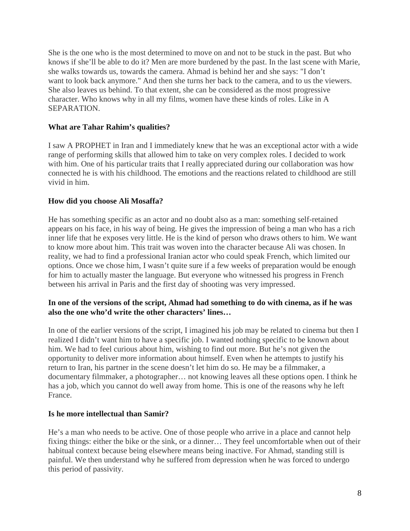She is the one who is the most determined to move on and not to be stuck in the past. But who knows if she'll be able to do it? Men are more burdened by the past. In the last scene with Marie, she walks towards us, towards the camera. Ahmad is behind her and she says: "I don't want to look back anymore." And then she turns her back to the camera, and to us the viewers. She also leaves us behind. To that extent, she can be considered as the most progressive character. Who knows why in all my films, women have these kinds of roles. Like in A SEPARATION.

#### **What are Tahar Rahim's qualities?**

I saw A PROPHET in Iran and I immediately knew that he was an exceptional actor with a wide range of performing skills that allowed him to take on very complex roles. I decided to work with him. One of his particular traits that I really appreciated during our collaboration was how connected he is with his childhood. The emotions and the reactions related to childhood are still vivid in him.

#### **How did you choose Ali Mosaffa?**

He has something specific as an actor and no doubt also as a man: something self-retained appears on his face, in his way of being. He gives the impression of being a man who has a rich inner life that he exposes very little. He is the kind of person who draws others to him. We want to know more about him. This trait was woven into the character because Ali was chosen. In reality, we had to find a professional Iranian actor who could speak French, which limited our options. Once we chose him, I wasn't quite sure if a few weeks of preparation would be enough for him to actually master the language. But everyone who witnessed his progress in French between his arrival in Paris and the first day of shooting was very impressed.

#### **In one of the versions of the script, Ahmad had something to do with cinema, as if he was also the one who'd write the other characters' lines…**

In one of the earlier versions of the script, I imagined his job may be related to cinema but then I realized I didn't want him to have a specific job. I wanted nothing specific to be known about him. We had to feel curious about him, wishing to find out more. But he's not given the opportunity to deliver more information about himself. Even when he attempts to justify his return to Iran, his partner in the scene doesn't let him do so. He may be a filmmaker, a documentary filmmaker, a photographer… not knowing leaves all these options open. I think he has a job, which you cannot do well away from home. This is one of the reasons why he left France.

#### **Is he more intellectual than Samir?**

He's a man who needs to be active. One of those people who arrive in a place and cannot help fixing things: either the bike or the sink, or a dinner… They feel uncomfortable when out of their habitual context because being elsewhere means being inactive. For Ahmad, standing still is painful. We then understand why he suffered from depression when he was forced to undergo this period of passivity.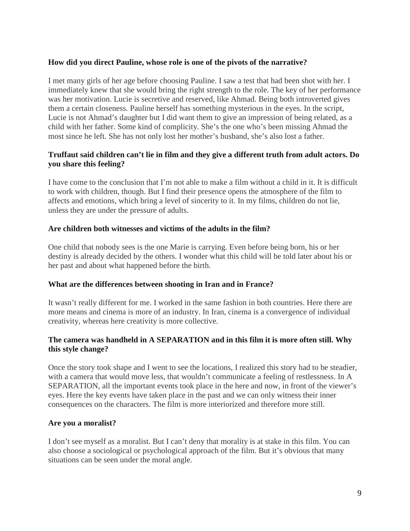#### **How did you direct Pauline, whose role is one of the pivots of the narrative?**

I met many girls of her age before choosing Pauline. I saw a test that had been shot with her. I immediately knew that she would bring the right strength to the role. The key of her performance was her motivation. Lucie is secretive and reserved, like Ahmad. Being both introverted gives them a certain closeness. Pauline herself has something mysterious in the eyes. In the script, Lucie is not Ahmad's daughter but I did want them to give an impression of being related, as a child with her father. Some kind of complicity. She's the one who's been missing Ahmad the most since he left. She has not only lost her mother's husband, she's also lost a father.

#### **Truffaut said children can't lie in film and they give a different truth from adult actors. Do you share this feeling?**

I have come to the conclusion that I'm not able to make a film without a child in it. It is difficult to work with children, though. But I find their presence opens the atmosphere of the film to affects and emotions, which bring a level of sincerity to it. In my films, children do not lie, unless they are under the pressure of adults.

#### **Are children both witnesses and victims of the adults in the film?**

One child that nobody sees is the one Marie is carrying. Even before being born, his or her destiny is already decided by the others. I wonder what this child will be told later about his or her past and about what happened before the birth.

#### **What are the differences between shooting in Iran and in France?**

It wasn't really different for me. I worked in the same fashion in both countries. Here there are more means and cinema is more of an industry. In Iran, cinema is a convergence of individual creativity, whereas here creativity is more collective.

#### **The camera was handheld in A SEPARATION and in this film it is more often still. Why this style change?**

Once the story took shape and I went to see the locations, I realized this story had to be steadier, with a camera that would move less, that wouldn't communicate a feeling of restlessness. In A SEPARATION, all the important events took place in the here and now, in front of the viewer's eyes. Here the key events have taken place in the past and we can only witness their inner consequences on the characters. The film is more interiorized and therefore more still.

#### **Are you a moralist?**

I don't see myself as a moralist. But I can't deny that morality is at stake in this film. You can also choose a sociological or psychological approach of the film. But it's obvious that many situations can be seen under the moral angle.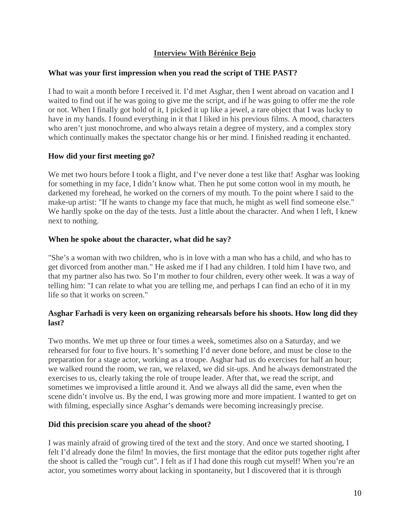#### **Interview With Bérénice Bejo**

#### **What was your first impression when you read the script of THE PAST?**

I had to wait a month before I received it. I'd met Asghar, then I went abroad on vacation and I waited to find out if he was going to give me the script, and if he was going to offer me the role or not. When I finally got hold of it, I picked it up like a jewel, a rare object that I was lucky to have in my hands. I found everything in it that I liked in his previous films. A mood, characters who aren't just monochrome, and who always retain a degree of mystery, and a complex story which continually makes the spectator change his or her mind. I finished reading it enchanted.

#### **How did your first meeting go?**

We met two hours before I took a flight, and I've never done a test like that! Asghar was looking for something in my face, I didn't know what. Then he put some cotton wool in my mouth, he darkened my forehead, he worked on the corners of my mouth. To the point where I said to the make-up artist: "If he wants to change my face that much, he might as well find someone else." We hardly spoke on the day of the tests. Just a little about the character. And when I left, I knew next to nothing.

#### **When he spoke about the character, what did he say?**

"She's a woman with two children, who is in love with a man who has a child, and who has to get divorced from another man." He asked me if I had any children. I told him I have two, and that my partner also has two. So I'm mother to four children, every other week. It was a way of telling him: "I can relate to what you are telling me, and perhaps I can find an echo of it in my life so that it works on screen."

#### **Asghar Farhadi is very keen on organizing rehearsals before his shoots. How long did they last?**

Two months. We met up three or four times a week, sometimes also on a Saturday, and we rehearsed for four to five hours. It's something I'd never done before, and must be close to the preparation for a stage actor, working as a troupe. Asghar had us do exercises for half an hour; we walked round the room, we ran, we relaxed, we did sit-ups. And he always demonstrated the exercises to us, clearly taking the role of troupe leader. After that, we read the script, and sometimes we improvised a little around it. And we always all did the same, even when the scene didn't involve us. By the end, I was growing more and more impatient. I wanted to get on with filming, especially since Asghar's demands were becoming increasingly precise.

#### **Did this precision scare you ahead of the shoot?**

I was mainly afraid of growing tired of the text and the story. And once we started shooting, I felt I'd already done the film! In movies, the first montage that the editor puts together right after the shoot is called the "rough cut". I felt as if I had done this rough cut myself! When you're an actor, you sometimes worry about lacking in spontaneity, but I discovered that it is through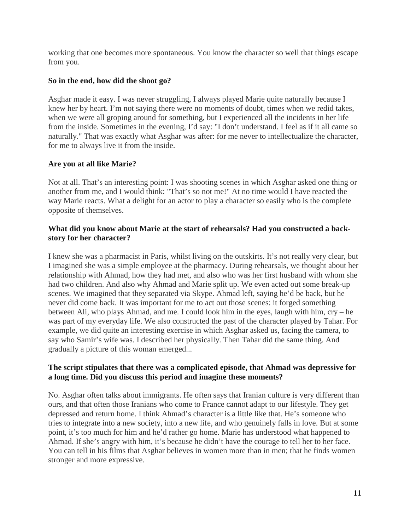working that one becomes more spontaneous. You know the character so well that things escape from you.

#### **So in the end, how did the shoot go?**

Asghar made it easy. I was never struggling, I always played Marie quite naturally because I knew her by heart. I'm not saying there were no moments of doubt, times when we redid takes, when we were all groping around for something, but I experienced all the incidents in her life from the inside. Sometimes in the evening, I'd say: "I don't understand. I feel as if it all came so naturally." That was exactly what Asghar was after: for me never to intellectualize the character, for me to always live it from the inside.

#### **Are you at all like Marie?**

Not at all. That's an interesting point: I was shooting scenes in which Asghar asked one thing or another from me, and I would think: "That's so not me!" At no time would I have reacted the way Marie reacts. What a delight for an actor to play a character so easily who is the complete opposite of themselves.

#### **What did you know about Marie at the start of rehearsals? Had you constructed a backstory for her character?**

I knew she was a pharmacist in Paris, whilst living on the outskirts. It's not really very clear, but I imagined she was a simple employee at the pharmacy. During rehearsals, we thought about her relationship with Ahmad, how they had met, and also who was her first husband with whom she had two children. And also why Ahmad and Marie split up. We even acted out some break-up scenes. We imagined that they separated via Skype. Ahmad left, saying he'd be back, but he never did come back. It was important for me to act out those scenes: it forged something between Ali, who plays Ahmad, and me. I could look him in the eyes, laugh with him, cry – he was part of my everyday life. We also constructed the past of the character played by Tahar. For example, we did quite an interesting exercise in which Asghar asked us, facing the camera, to say who Samir's wife was. I described her physically. Then Tahar did the same thing. And gradually a picture of this woman emerged...

#### **The script stipulates that there was a complicated episode, that Ahmad was depressive for a long time. Did you discuss this period and imagine these moments?**

No. Asghar often talks about immigrants. He often says that Iranian culture is very different than ours, and that often those Iranians who come to France cannot adapt to our lifestyle. They get depressed and return home. I think Ahmad's character is a little like that. He's someone who tries to integrate into a new society, into a new life, and who genuinely falls in love. But at some point, it's too much for him and he'd rather go home. Marie has understood what happened to Ahmad. If she's angry with him, it's because he didn't have the courage to tell her to her face. You can tell in his films that Asghar believes in women more than in men; that he finds women stronger and more expressive.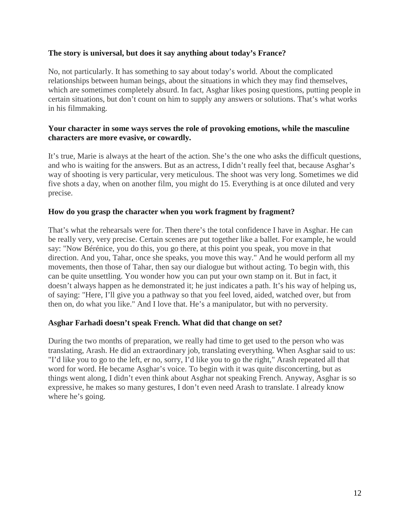#### **The story is universal, but does it say anything about today's France?**

No, not particularly. It has something to say about today's world. About the complicated relationships between human beings, about the situations in which they may find themselves, which are sometimes completely absurd. In fact, Asghar likes posing questions, putting people in certain situations, but don't count on him to supply any answers or solutions. That's what works in his filmmaking.

#### **Your character in some ways serves the role of provoking emotions, while the masculine characters are more evasive, or cowardly.**

It's true, Marie is always at the heart of the action. She's the one who asks the difficult questions, and who is waiting for the answers. But as an actress, I didn't really feel that, because Asghar's way of shooting is very particular, very meticulous. The shoot was very long. Sometimes we did five shots a day, when on another film, you might do 15. Everything is at once diluted and very precise.

#### **How do you grasp the character when you work fragment by fragment?**

That's what the rehearsals were for. Then there's the total confidence I have in Asghar. He can be really very, very precise. Certain scenes are put together like a ballet. For example, he would say: "Now Bérénice, you do this, you go there, at this point you speak, you move in that direction. And you, Tahar, once she speaks, you move this way." And he would perform all my movements, then those of Tahar, then say our dialogue but without acting. To begin with, this can be quite unsettling. You wonder how you can put your own stamp on it. But in fact, it doesn't always happen as he demonstrated it; he just indicates a path. It's his way of helping us, of saying: "Here, I'll give you a pathway so that you feel loved, aided, watched over, but from then on, do what you like." And I love that. He's a manipulator, but with no perversity.

#### **Asghar Farhadi doesn't speak French. What did that change on set?**

During the two months of preparation, we really had time to get used to the person who was translating, Arash. He did an extraordinary job, translating everything. When Asghar said to us: "I'd like you to go to the left, er no, sorry, I'd like you to go the right," Arash repeated all that word for word. He became Asghar's voice. To begin with it was quite disconcerting, but as things went along, I didn't even think about Asghar not speaking French. Anyway, Asghar is so expressive, he makes so many gestures, I don't even need Arash to translate. I already know where he's going.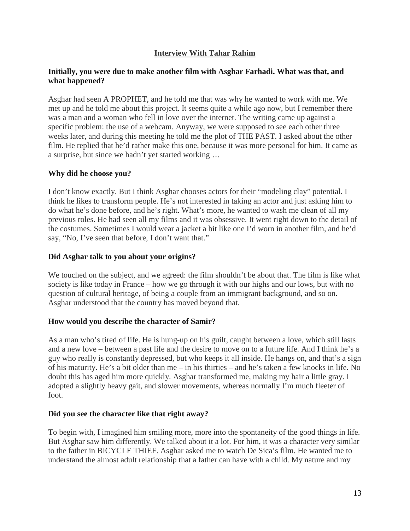#### **Interview With Tahar Rahim**

#### **Initially, you were due to make another film with Asghar Farhadi. What was that, and what happened?**

Asghar had seen A PROPHET, and he told me that was why he wanted to work with me. We met up and he told me about this project. It seems quite a while ago now, but I remember there was a man and a woman who fell in love over the internet. The writing came up against a specific problem: the use of a webcam. Anyway, we were supposed to see each other three weeks later, and during this meeting he told me the plot of THE PAST. I asked about the other film. He replied that he'd rather make this one, because it was more personal for him. It came as a surprise, but since we hadn't yet started working …

#### **Why did he choose you?**

I don't know exactly. But I think Asghar chooses actors for their "modeling clay" potential. I think he likes to transform people. He's not interested in taking an actor and just asking him to do what he's done before, and he's right. What's more, he wanted to wash me clean of all my previous roles. He had seen all my films and it was obsessive. It went right down to the detail of the costumes. Sometimes I would wear a jacket a bit like one I'd worn in another film, and he'd say, "No, I've seen that before, I don't want that."

#### **Did Asghar talk to you about your origins?**

We touched on the subject, and we agreed: the film shouldn't be about that. The film is like what society is like today in France – how we go through it with our highs and our lows, but with no question of cultural heritage, of being a couple from an immigrant background, and so on. Asghar understood that the country has moved beyond that.

#### **How would you describe the character of Samir?**

As a man who's tired of life. He is hung-up on his guilt, caught between a love, which still lasts and a new love – between a past life and the desire to move on to a future life. And I think he's a guy who really is constantly depressed, but who keeps it all inside. He hangs on, and that's a sign of his maturity. He's a bit older than me – in his thirties – and he's taken a few knocks in life. No doubt this has aged him more quickly. Asghar transformed me, making my hair a little gray. I adopted a slightly heavy gait, and slower movements, whereas normally I'm much fleeter of foot.

#### **Did you see the character like that right away?**

To begin with, I imagined him smiling more, more into the spontaneity of the good things in life. But Asghar saw him differently. We talked about it a lot. For him, it was a character very similar to the father in BICYCLE THIEF. Asghar asked me to watch De Sica's film. He wanted me to understand the almost adult relationship that a father can have with a child. My nature and my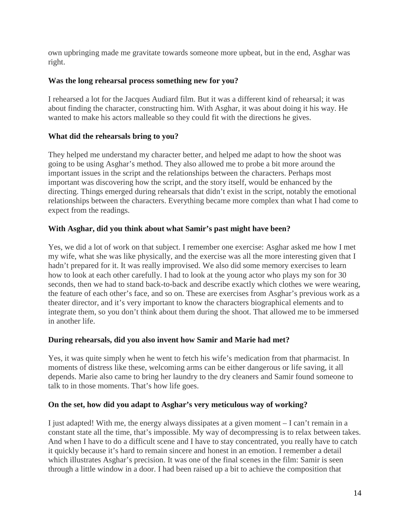own upbringing made me gravitate towards someone more upbeat, but in the end, Asghar was right.

#### **Was the long rehearsal process something new for you?**

I rehearsed a lot for the Jacques Audiard film. But it was a different kind of rehearsal; it was about finding the character, constructing him. With Asghar, it was about doing it his way. He wanted to make his actors malleable so they could fit with the directions he gives.

#### **What did the rehearsals bring to you?**

They helped me understand my character better, and helped me adapt to how the shoot was going to be using Asghar's method. They also allowed me to probe a bit more around the important issues in the script and the relationships between the characters. Perhaps most important was discovering how the script, and the story itself, would be enhanced by the directing. Things emerged during rehearsals that didn't exist in the script, notably the emotional relationships between the characters. Everything became more complex than what I had come to expect from the readings.

#### **With Asghar, did you think about what Samir's past might have been?**

Yes, we did a lot of work on that subject. I remember one exercise: Asghar asked me how I met my wife, what she was like physically, and the exercise was all the more interesting given that I hadn't prepared for it. It was really improvised. We also did some memory exercises to learn how to look at each other carefully. I had to look at the young actor who plays my son for 30 seconds, then we had to stand back-to-back and describe exactly which clothes we were wearing, the feature of each other's face, and so on. These are exercises from Asghar's previous work as a theater director, and it's very important to know the characters biographical elements and to integrate them, so you don't think about them during the shoot. That allowed me to be immersed in another life.

#### **During rehearsals, did you also invent how Samir and Marie had met?**

Yes, it was quite simply when he went to fetch his wife's medication from that pharmacist. In moments of distress like these, welcoming arms can be either dangerous or life saving, it all depends. Marie also came to bring her laundry to the dry cleaners and Samir found someone to talk to in those moments. That's how life goes.

#### **On the set, how did you adapt to Asghar's very meticulous way of working?**

I just adapted! With me, the energy always dissipates at a given moment – I can't remain in a constant state all the time, that's impossible. My way of decompressing is to relax between takes. And when I have to do a difficult scene and I have to stay concentrated, you really have to catch it quickly because it's hard to remain sincere and honest in an emotion. I remember a detail which illustrates Asghar's precision. It was one of the final scenes in the film: Samir is seen through a little window in a door. I had been raised up a bit to achieve the composition that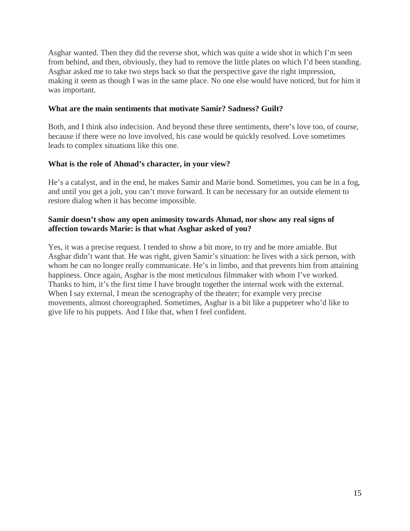Asghar wanted. Then they did the reverse shot, which was quite a wide shot in which I'm seen from behind, and then, obviously, they had to remove the little plates on which I'd been standing. Asghar asked me to take two steps back so that the perspective gave the right impression, making it seem as though I was in the same place. No one else would have noticed, but for him it was important.

#### **What are the main sentiments that motivate Samir? Sadness? Guilt?**

Both, and I think also indecision. And beyond these three sentiments, there's love too, of course, because if there were no love involved, his case would be quickly resolved. Love sometimes leads to complex situations like this one.

#### **What is the role of Ahmad's character, in your view?**

He's a catalyst, and in the end, he makes Samir and Marie bond. Sometimes, you can be in a fog, and until you get a jolt, you can't move forward. It can be necessary for an outside element to restore dialog when it has become impossible.

#### **Samir doesn't show any open animosity towards Ahmad, nor show any real signs of affection towards Marie: is that what Asghar asked of you?**

Yes, it was a precise request. I tended to show a bit more, to try and be more amiable. But Asghar didn't want that. He was right, given Samir's situation: he lives with a sick person, with whom he can no longer really communicate. He's in limbo, and that prevents him from attaining happiness. Once again, Asghar is the most meticulous filmmaker with whom I've worked. Thanks to him, it's the first time I have brought together the internal work with the external. When I say external, I mean the scenography of the theater; for example very precise movements, almost choreographed. Sometimes, Asghar is a bit like a puppeteer who'd like to give life to his puppets. And I like that, when I feel confident.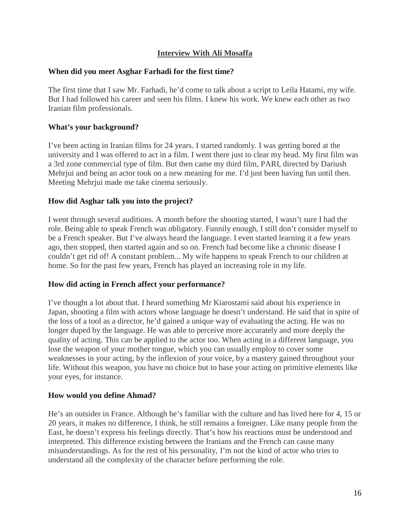#### **Interview With Ali Mosaffa**

#### **When did you meet Asghar Farhadi for the first time?**

The first time that I saw Mr. Farhadi, he'd come to talk about a script to Leila Hatami, my wife. But I had followed his career and seen his films. I knew his work. We knew each other as two Iranian film professionals.

#### **What's your background?**

I've been acting in Iranian films for 24 years. I started randomly. I was getting bored at the university and I was offered to act in a film. I went there just to clear my head. My first film was a 3rd zone commercial type of film. But then came my third film, PARI, directed by Dariush Mehrjui and being an actor took on a new meaning for me. I'd just been having fun until then. Meeting Mehrjui made me take cinema seriously.

#### **How did Asghar talk you into the project?**

I went through several auditions. A month before the shooting started, I wasn't sure I had the role. Being able to speak French was obligatory. Funnily enough, I still don't consider myself to be a French speaker. But I've always heard the language. I even started learning it a few years ago, then stopped, then started again and so on. French had become like a chronic disease I couldn't get rid of! A constant problem... My wife happens to speak French to our children at home. So for the past few years, French has played an increasing role in my life.

#### **How did acting in French affect your performance?**

I've thought a lot about that. I heard something Mr Kiarostami said about his experience in Japan, shooting a film with actors whose language he doesn't understand. He said that in spite of the loss of a tool as a director, he'd gained a unique way of evaluating the acting. He was no longer duped by the language. He was able to perceive more accurately and more deeply the quality of acting. This can be applied to the actor too. When acting in a different language, you lose the weapon of your mother tongue, which you can usually employ to cover some weaknesses in your acting, by the inflexion of your voice, by a mastery gained throughout your life. Without this weapon, you have no choice but to base your acting on primitive elements like your eyes, for instance.

#### **How would you define Ahmad?**

He's an outsider in France. Although he's familiar with the culture and has lived here for 4, 15 or 20 years, it makes no difference, I think, he still remains a foreigner. Like many people from the East, he doesn't express his feelings directly. That's how his reactions must be understood and interpreted. This difference existing between the Iranians and the French can cause many misunderstandings. As for the rest of his personality, I'm not the kind of actor who tries to understand all the complexity of the character before performing the role.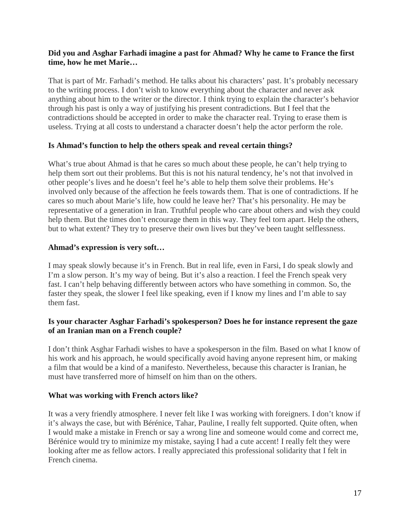#### **Did you and Asghar Farhadi imagine a past for Ahmad? Why he came to France the first time, how he met Marie…**

That is part of Mr. Farhadi's method. He talks about his characters' past. It's probably necessary to the writing process. I don't wish to know everything about the character and never ask anything about him to the writer or the director. I think trying to explain the character's behavior through his past is only a way of justifying his present contradictions. But I feel that the contradictions should be accepted in order to make the character real. Trying to erase them is useless. Trying at all costs to understand a character doesn't help the actor perform the role.

#### **Is Ahmad's function to help the others speak and reveal certain things?**

What's true about Ahmad is that he cares so much about these people, he can't help trying to help them sort out their problems. But this is not his natural tendency, he's not that involved in other people's lives and he doesn't feel he's able to help them solve their problems. He's involved only because of the affection he feels towards them. That is one of contradictions. If he cares so much about Marie's life, how could he leave her? That's his personality. He may be representative of a generation in Iran. Truthful people who care about others and wish they could help them. But the times don't encourage them in this way. They feel torn apart. Help the others, but to what extent? They try to preserve their own lives but they've been taught selflessness.

#### **Ahmad's expression is very soft…**

I may speak slowly because it's in French. But in real life, even in Farsi, I do speak slowly and I'm a slow person. It's my way of being. But it's also a reaction. I feel the French speak very fast. I can't help behaving differently between actors who have something in common. So, the faster they speak, the slower I feel like speaking, even if I know my lines and I'm able to say them fast.

#### **Is your character Asghar Farhadi's spokesperson? Does he for instance represent the gaze of an Iranian man on a French couple?**

I don't think Asghar Farhadi wishes to have a spokesperson in the film. Based on what I know of his work and his approach, he would specifically avoid having anyone represent him, or making a film that would be a kind of a manifesto. Nevertheless, because this character is Iranian, he must have transferred more of himself on him than on the others.

#### **What was working with French actors like?**

It was a very friendly atmosphere. I never felt like I was working with foreigners. I don't know if it's always the case, but with Bérénice, Tahar, Pauline, I really felt supported. Quite often, when I would make a mistake in French or say a wrong line and someone would come and correct me, Bérénice would try to minimize my mistake, saying I had a cute accent! I really felt they were looking after me as fellow actors. I really appreciated this professional solidarity that I felt in French cinema.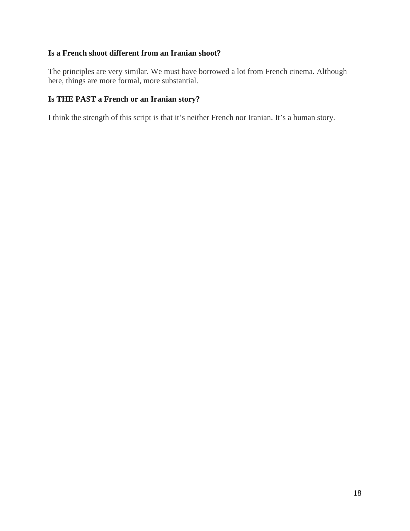#### **Is a French shoot different from an Iranian shoot?**

The principles are very similar. We must have borrowed a lot from French cinema. Although here, things are more formal, more substantial.

#### **Is THE PAST a French or an Iranian story?**

I think the strength of this script is that it's neither French nor Iranian. It's a human story.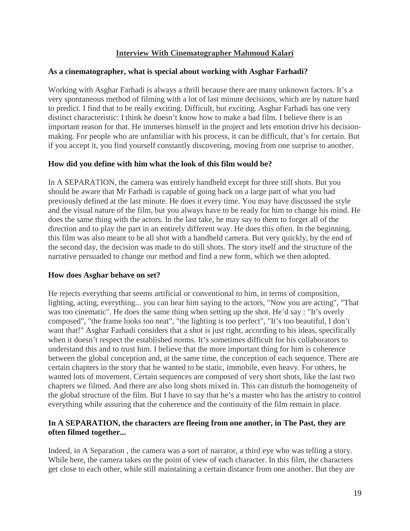#### **Interview With Cinematographer Mahmoud Kalari**

#### **As a cinematographer, what is special about working with Asghar Farhadi?**

Working with Asghar Farhadi is always a thrill because there are many unknown factors. It's a very spontaneous method of filming with a lot of last minute decisions, which are by nature hard to predict. I find that to be really exciting. Difficult, but exciting. Asghar Farhadi has one very distinct characteristic: I think he doesn't know how to make a bad film. I believe there is an important reason for that. He immerses himself in the project and lets emotion drive his decisionmaking. For people who are unfamiliar with his process, it can be difficult, that's for certain. But if you accept it, you find yourself constantly discovering, moving from one surprise to another.

#### **How did you define with him what the look of this film would be?**

In A SEPARATION, the camera was entirely handheld except for three still shots. But you should be aware that Mr Farhadi is capable of going back on a large part of what you had previously defined at the last minute. He does it every time. You may have discussed the style and the visual nature of the film, but you always have to be ready for him to change his mind. He does the same thing with the actors. In the last take, he may say to them to forget all of the direction and to play the part in an entirely different way. He does this often. In the beginning, this film was also meant to be all shot with a handheld camera. But very quickly, by the end of the second day, the decision was made to do still shots. The story itself and the structure of the narrative persuaded to change our method and find a new form, which we then adopted.

#### **How does Asghar behave on set?**

He rejects everything that seems artificial or conventional to him, in terms of composition, lighting, acting, everything... you can hear him saying to the actors, "Now you are acting", "That was too cinematic". He does the same thing when setting up the shot. He'd say : "It's overly composed", "the frame looks too neat", "the lighting is too perfect", "It's too beautiful, I don't want that!" Asghar Farhadi considers that a shot is just right, according to his ideas, specifically when it doesn't respect the established norms. It's sometimes difficult for his collaborators to understand this and to trust him. I believe that the more important thing for him is coherence between the global conception and, at the same time, the conception of each sequence. There are certain chapters in the story that he wanted to be static, immobile, even heavy. For others, he wanted lots of movement. Certain sequences are composed of very short shots, like the last two chapters we filmed. And there are also long shots mixed in. This can disturb the homogeneity of the global structure of the film. But I have to say that he's a master who has the artistry to control everything while assuring that the coherence and the continuity of the film remain in place.

#### **In A SEPARATION, the characters are fleeing from one another, in The Past, they are often filmed together...**

Indeed, in A Separation , the camera was a sort of narrator, a third eye who was telling a story. While here, the camera takes on the point of view of each character. In this film, the characters get close to each other, while still maintaining a certain distance from one another. But they are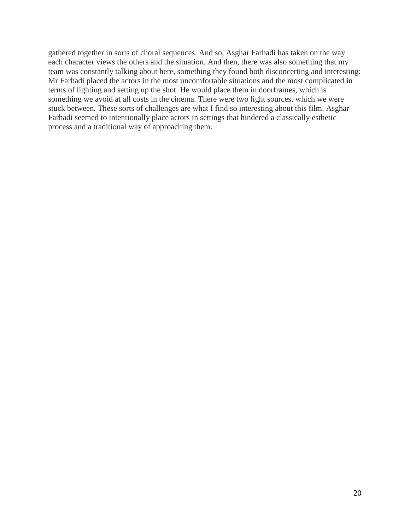gathered together in sorts of choral sequences. And so, Asghar Farhadi has taken on the way each character views the others and the situation. And then, there was also something that my team was constantly talking about here, something they found both disconcerting and interesting: Mr Farhadi placed the actors in the most uncomfortable situations and the most complicated in terms of lighting and setting up the shot. He would place them in doorframes, which is something we avoid at all costs in the cinema. There were two light sources, which we were stuck between. These sorts of challenges are what I find so interesting about this film. Asghar Farhadi seemed to intentionally place actors in settings that hindered a classically esthetic process and a traditional way of approaching them.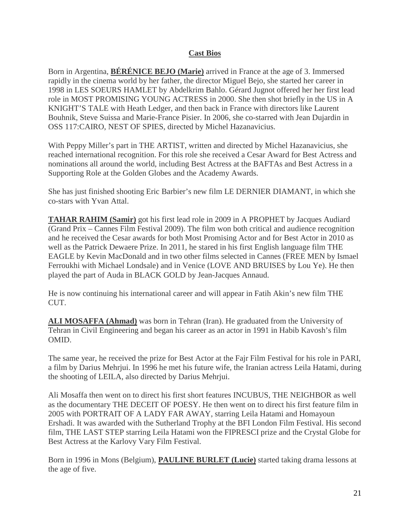#### **Cast Bios**

Born in Argentina, **BÉRÉNICE BEJO (Marie)** arrived in France at the age of 3. Immersed rapidly in the cinema world by her father, the director Miguel Bejo, she started her career in 1998 in LES SOEURS HAMLET by Abdelkrim Bahlo. Gérard Jugnot offered her her first lead role in MOST PROMISING YOUNG ACTRESS in 2000. She then shot briefly in the US in A KNIGHT'S TALE with Heath Ledger, and then back in France with directors like Laurent Bouhnik, Steve Suissa and Marie-France Pisier. In 2006, she co-starred with Jean Dujardin in OSS 117:CAIRO, NEST OF SPIES, directed by Michel Hazanavicius.

With Peppy Miller's part in THE ARTIST, written and directed by Michel Hazanavicius, she reached international recognition. For this role she received a Cesar Award for Best Actress and nominations all around the world, including Best Actress at the BAFTAs and Best Actress in a Supporting Role at the Golden Globes and the Academy Awards.

She has just finished shooting Eric Barbier's new film LE DERNIER DIAMANT, in which she co-stars with Yvan Attal.

**TAHAR RAHIM (Samir)** got his first lead role in 2009 in A PROPHET by Jacques Audiard (Grand Prix – Cannes Film Festival 2009). The film won both critical and audience recognition and he received the Cesar awards for both Most Promising Actor and for Best Actor in 2010 as well as the Patrick Dewaere Prize. In 2011, he stared in his first English language film THE EAGLE by Kevin MacDonald and in two other films selected in Cannes (FREE MEN by Ismael Ferroukhi with Michael Londsale) and in Venice (LOVE AND BRUISES by Lou Ye). He then played the part of Auda in BLACK GOLD by Jean-Jacques Annaud.

He is now continuing his international career and will appear in Fatih Akin's new film THE CUT.

**ALI MOSAFFA (Ahmad)** was born in Tehran (Iran). He graduated from the University of Tehran in Civil Engineering and began his career as an actor in 1991 in Habib Kavosh's film OMID.

The same year, he received the prize for Best Actor at the Fajr Film Festival for his role in PARI, a film by Darius Mehrjui. In 1996 he met his future wife, the Iranian actress Leila Hatami, during the shooting of LEILA, also directed by Darius Mehrjui.

Ali Mosaffa then went on to direct his first short features INCUBUS, THE NEIGHBOR as well as the documentary THE DECEIT OF POESY. He then went on to direct his first feature film in 2005 with PORTRAIT OF A LADY FAR AWAY, starring Leila Hatami and Homayoun Ershadi. It was awarded with the Sutherland Trophy at the BFI London Film Festival. His second film, THE LAST STEP starring Leila Hatami won the FIPRESCI prize and the Crystal Globe for Best Actress at the Karlovy Vary Film Festival.

Born in 1996 in Mons (Belgium), **PAULINE BURLET (Lucie)** started taking drama lessons at the age of five.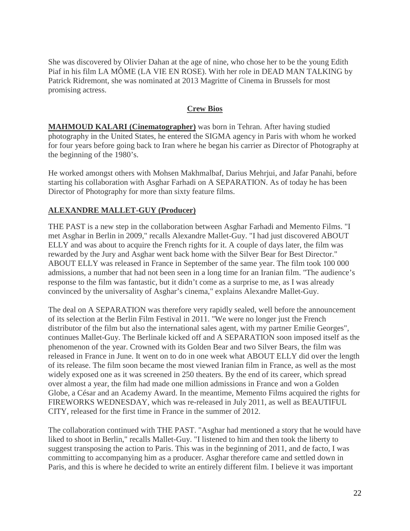She was discovered by Olivier Dahan at the age of nine, who chose her to be the young Edith Piaf in his film LA MÔME (LA VIE EN ROSE). With her role in DEAD MAN TALKING by Patrick Ridremont, she was nominated at 2013 Magritte of Cinema in Brussels for most promising actress.

#### **Crew Bios**

**MAHMOUD KALARI (Cinematographer)** was born in Tehran. After having studied photography in the United States, he entered the SIGMA agency in Paris with whom he worked for four years before going back to Iran where he began his carrier as Director of Photography at the beginning of the 1980's.

He worked amongst others with Mohsen Makhmalbaf, Darius Mehrjui, and Jafar Panahi, before starting his collaboration with Asghar Farhadi on A SEPARATION. As of today he has been Director of Photography for more than sixty feature films.

#### **ALEXANDRE MALLET-GUY (Producer)**

THE PAST is a new step in the collaboration between Asghar Farhadi and Memento Films. "I met Asghar in Berlin in 2009," recalls Alexandre Mallet-Guy. "I had just discovered ABOUT ELLY and was about to acquire the French rights for it. A couple of days later, the film was rewarded by the Jury and Asghar went back home with the Silver Bear for Best Director." ABOUT ELLY was released in France in September of the same year. The film took 100 000 admissions, a number that had not been seen in a long time for an Iranian film. "The audience's response to the film was fantastic, but it didn't come as a surprise to me, as I was already convinced by the universality of Asghar's cinema," explains Alexandre Mallet-Guy.

The deal on A SEPARATION was therefore very rapidly sealed, well before the announcement of its selection at the Berlin Film Festival in 2011. "We were no longer just the French distributor of the film but also the international sales agent, with my partner Emilie Georges", continues Mallet-Guy. The Berlinale kicked off and A SEPARATION soon imposed itself as the phenomenon of the year. Crowned with its Golden Bear and two Silver Bears, the film was released in France in June. It went on to do in one week what ABOUT ELLY did over the length of its release. The film soon became the most viewed Iranian film in France, as well as the most widely exposed one as it was screened in 250 theaters. By the end of its career, which spread over almost a year, the film had made one million admissions in France and won a Golden Globe, a César and an Academy Award. In the meantime, Memento Films acquired the rights for FIREWORKS WEDNESDAY, which was re-released in July 2011, as well as BEAUTIFUL CITY, released for the first time in France in the summer of 2012.

The collaboration continued with THE PAST. "Asghar had mentioned a story that he would have liked to shoot in Berlin," recalls Mallet-Guy. "I listened to him and then took the liberty to suggest transposing the action to Paris. This was in the beginning of 2011, and de facto, I was committing to accompanying him as a producer. Asghar therefore came and settled down in Paris, and this is where he decided to write an entirely different film. I believe it was important